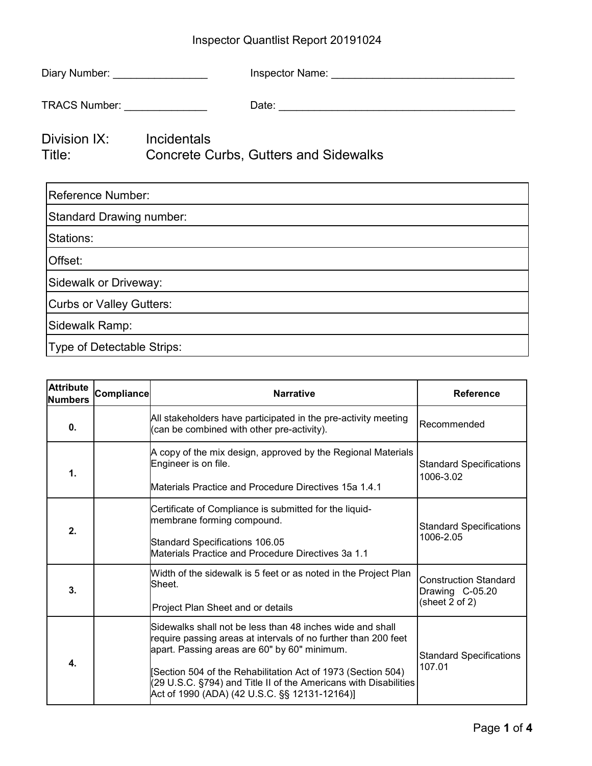## Inspector Quantlist Report 20191024

| Diary Number: __________________   |                                              |  |  |  |
|------------------------------------|----------------------------------------------|--|--|--|
| TRACS Number: _______________      |                                              |  |  |  |
| Division IX: Incidentals<br>Title: | <b>Concrete Curbs, Gutters and Sidewalks</b> |  |  |  |
| <b>Reference Number:</b>           |                                              |  |  |  |
| <b>Standard Drawing number:</b>    |                                              |  |  |  |
| Stations:                          |                                              |  |  |  |
| Offset:                            |                                              |  |  |  |
| Sidewalk or Driveway:              |                                              |  |  |  |
| <b>Curbs or Valley Gutters:</b>    |                                              |  |  |  |
| Sidewalk Ramp:                     |                                              |  |  |  |
| Type of Detectable Strips:         |                                              |  |  |  |

| <b>Attribute</b><br><b>Numbers</b> | <b>Compliance</b> | <b>Narrative</b>                                                                                                                                                                                                                                                                                                                                                | <b>Reference</b>                                                  |
|------------------------------------|-------------------|-----------------------------------------------------------------------------------------------------------------------------------------------------------------------------------------------------------------------------------------------------------------------------------------------------------------------------------------------------------------|-------------------------------------------------------------------|
| 0.                                 |                   | All stakeholders have participated in the pre-activity meeting<br>(can be combined with other pre-activity).                                                                                                                                                                                                                                                    | Recommended                                                       |
| 1.                                 |                   | A copy of the mix design, approved by the Regional Materials<br>Engineer is on file.<br>Materials Practice and Procedure Directives 15a 1.4.1                                                                                                                                                                                                                   | <b>Standard Specifications</b><br>1006-3.02                       |
| 2.                                 |                   | Certificate of Compliance is submitted for the liquid-<br>membrane forming compound.<br>Standard Specifications 106.05<br>Materials Practice and Procedure Directives 3a 1.1                                                                                                                                                                                    | <b>Standard Specifications</b><br>1006-2.05                       |
| 3.                                 |                   | Width of the sidewalk is 5 feet or as noted in the Project Plan<br>Sheet.<br>Project Plan Sheet and or details                                                                                                                                                                                                                                                  | <b>Construction Standard</b><br>Drawing C-05.20<br>(sheet 2 of 2) |
| 4.                                 |                   | Sidewalks shall not be less than 48 inches wide and shall<br>require passing areas at intervals of no further than 200 feet<br>apart. Passing areas are 60" by 60" minimum.<br>Section 504 of the Rehabilitation Act of 1973 (Section 504)<br>(29 U.S.C. §794) and Title II of the Americans with Disabilities<br>Act of 1990 (ADA) (42 U.S.C. §§ 12131-12164)] | <b>Standard Specifications</b><br>107.01                          |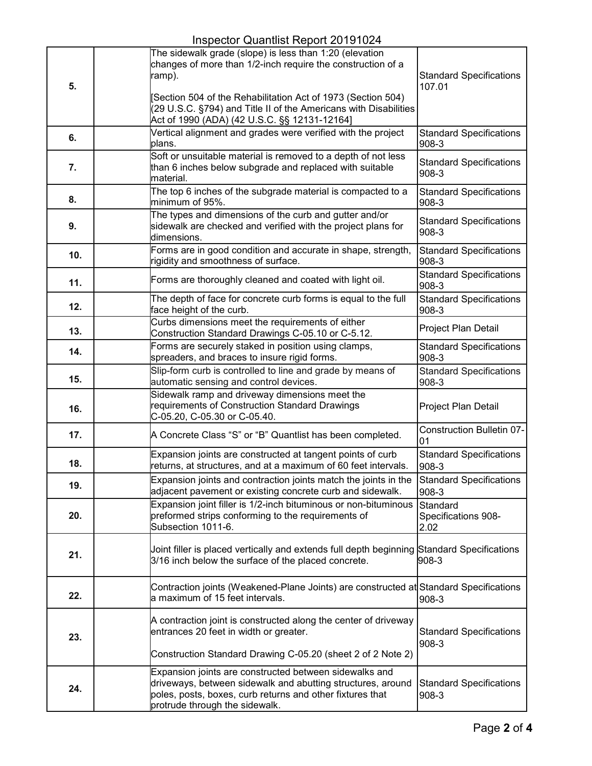|     | $1.10$ poster addition report Eq. 10.10 E $\cdot$<br>The sidewalk grade (slope) is less than 1:20 (elevation                                      |                                           |
|-----|---------------------------------------------------------------------------------------------------------------------------------------------------|-------------------------------------------|
|     | changes of more than 1/2-inch require the construction of a                                                                                       |                                           |
| 5.  | ramp).                                                                                                                                            | <b>Standard Specifications</b><br>107.01  |
|     | [Section 504 of the Rehabilitation Act of 1973 (Section 504)                                                                                      |                                           |
|     | (29 U.S.C. §794) and Title II of the Americans with Disabilities                                                                                  |                                           |
|     | Act of 1990 (ADA) (42 U.S.C. §§ 12131-12164]<br>Vertical alignment and grades were verified with the project                                      |                                           |
| 6.  | plans.                                                                                                                                            | <b>Standard Specifications</b><br>908-3   |
|     | Soft or unsuitable material is removed to a depth of not less                                                                                     | <b>Standard Specifications</b>            |
| 7.  | than 6 inches below subgrade and replaced with suitable<br>material.                                                                              | 908-3                                     |
| 8.  | The top 6 inches of the subgrade material is compacted to a<br>minimum of 95%.                                                                    | <b>Standard Specifications</b><br>908-3   |
| 9.  | The types and dimensions of the curb and gutter and/or<br>sidewalk are checked and verified with the project plans for                            | <b>Standard Specifications</b>            |
|     | dimensions.                                                                                                                                       | 908-3                                     |
| 10. | Forms are in good condition and accurate in shape, strength,<br>rigidity and smoothness of surface.                                               | <b>Standard Specifications</b><br>908-3   |
| 11. | Forms are thoroughly cleaned and coated with light oil.                                                                                           | <b>Standard Specifications</b><br>908-3   |
| 12. | The depth of face for concrete curb forms is equal to the full<br>face height of the curb.                                                        | <b>Standard Specifications</b><br>$908-3$ |
| 13. | Curbs dimensions meet the requirements of either<br>Construction Standard Drawings C-05.10 or C-5.12.                                             | Project Plan Detail                       |
| 14. | Forms are securely staked in position using clamps,                                                                                               | <b>Standard Specifications</b>            |
|     | spreaders, and braces to insure rigid forms.<br>Slip-form curb is controlled to line and grade by means of                                        | 908-3<br><b>Standard Specifications</b>   |
| 15. | automatic sensing and control devices.                                                                                                            | 908-3                                     |
|     | Sidewalk ramp and driveway dimensions meet the                                                                                                    |                                           |
| 16. | requirements of Construction Standard Drawings<br>C-05.20, C-05.30 or C-05.40.                                                                    | Project Plan Detail                       |
| 17. | A Concrete Class "S" or "B" Quantlist has been completed.                                                                                         | <b>Construction Bulletin 07-</b><br>01    |
| 18. | Expansion joints are constructed at tangent points of curb<br>returns, at structures, and at a maximum of 60 feet intervals.                      | <b>Standard Specifications</b><br>908-3   |
| 19. | Expansion joints and contraction joints match the joints in the                                                                                   | Standard Specifications                   |
|     | adjacent pavement or existing concrete curb and sidewalk.<br>Expansion joint filler is 1/2-inch bituminous or non-bituminous                      | 908-3<br>Standard                         |
| 20. | preformed strips conforming to the requirements of<br>Subsection 1011-6.                                                                          | Specifications 908-<br>2.02               |
|     |                                                                                                                                                   |                                           |
| 21. | Joint filler is placed vertically and extends full depth beginning Standard Specifications<br>3/16 inch below the surface of the placed concrete. | 908-3                                     |
|     | Contraction joints (Weakened-Plane Joints) are constructed at Standard Specifications                                                             |                                           |
| 22. | a maximum of 15 feet intervals.                                                                                                                   | 908-3                                     |
|     | A contraction joint is constructed along the center of driveway                                                                                   |                                           |
| 23. | entrances 20 feet in width or greater.                                                                                                            | <b>Standard Specifications</b><br>$908-3$ |
|     | Construction Standard Drawing C-05.20 (sheet 2 of 2 Note 2)                                                                                       |                                           |
|     | Expansion joints are constructed between sidewalks and<br>driveways, between sidewalk and abutting structures, around                             | <b>Standard Specifications</b>            |
| 24. | poles, posts, boxes, curb returns and other fixtures that                                                                                         | 908-3                                     |
|     | protrude through the sidewalk.                                                                                                                    |                                           |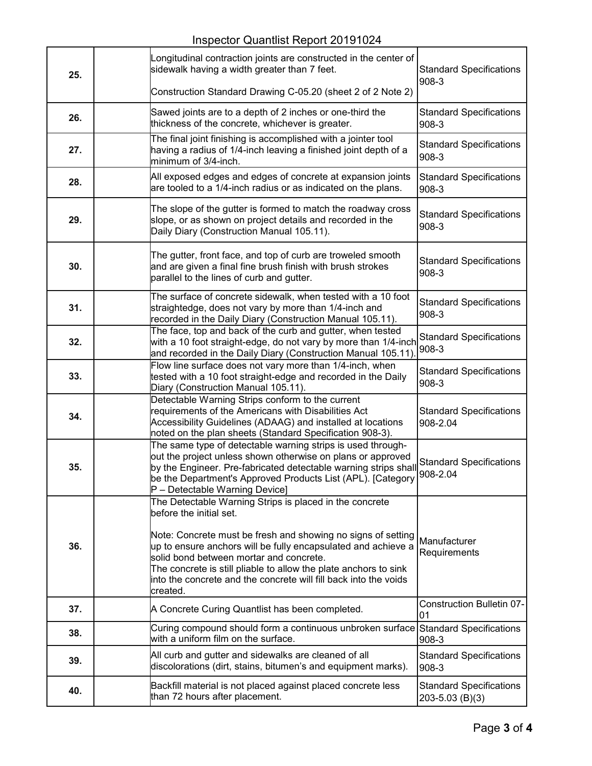| 25. | Longitudinal contraction joints are constructed in the center of<br>sidewalk having a width greater than 7 feet.<br>Construction Standard Drawing C-05.20 (sheet 2 of 2 Note 2)                                                                                                                                                                                                                                    | <b>Standard Specifications</b><br>908-3           |
|-----|--------------------------------------------------------------------------------------------------------------------------------------------------------------------------------------------------------------------------------------------------------------------------------------------------------------------------------------------------------------------------------------------------------------------|---------------------------------------------------|
| 26. | Sawed joints are to a depth of 2 inches or one-third the<br>thickness of the concrete, whichever is greater.                                                                                                                                                                                                                                                                                                       | <b>Standard Specifications</b><br>908-3           |
| 27. | The final joint finishing is accomplished with a jointer tool<br>having a radius of 1/4-inch leaving a finished joint depth of a<br>minimum of 3/4-inch.                                                                                                                                                                                                                                                           | <b>Standard Specifications</b><br>908-3           |
| 28. | All exposed edges and edges of concrete at expansion joints<br>are tooled to a 1/4-inch radius or as indicated on the plans.                                                                                                                                                                                                                                                                                       | <b>Standard Specifications</b><br>908-3           |
| 29. | The slope of the gutter is formed to match the roadway cross<br>slope, or as shown on project details and recorded in the<br>Daily Diary (Construction Manual 105.11).                                                                                                                                                                                                                                             | <b>Standard Specifications</b><br>908-3           |
| 30. | The gutter, front face, and top of curb are troweled smooth<br>and are given a final fine brush finish with brush strokes<br>parallel to the lines of curb and gutter.                                                                                                                                                                                                                                             | <b>Standard Specifications</b><br>908-3           |
| 31. | The surface of concrete sidewalk, when tested with a 10 foot<br>straightedge, does not vary by more than 1/4-inch and<br>recorded in the Daily Diary (Construction Manual 105.11).                                                                                                                                                                                                                                 | <b>Standard Specifications</b><br>908-3           |
| 32. | The face, top and back of the curb and gutter, when tested<br>with a 10 foot straight-edge, do not vary by more than 1/4-inch<br>and recorded in the Daily Diary (Construction Manual 105.11)                                                                                                                                                                                                                      | <b>Standard Specifications</b><br>908-3           |
| 33. | Flow line surface does not vary more than 1/4-inch, when<br>tested with a 10 foot straight-edge and recorded in the Daily<br>Diary (Construction Manual 105.11).                                                                                                                                                                                                                                                   | <b>Standard Specifications</b><br>908-3           |
| 34. | Detectable Warning Strips conform to the current<br>requirements of the Americans with Disabilities Act<br>Accessibility Guidelines (ADAAG) and installed at locations<br>noted on the plan sheets (Standard Specification 908-3).                                                                                                                                                                                 | <b>Standard Specifications</b><br>908-2.04        |
| 35. | The same type of detectable warning strips is used through-<br>out the project unless shown otherwise on plans or approved<br>by the Engineer. Pre-fabricated detectable warning strips shall<br>be the Department's Approved Products List (APL). [Category<br>P - Detectable Warning Device]                                                                                                                     | <b>Standard Specifications</b><br>908-2.04        |
| 36. | The Detectable Warning Strips is placed in the concrete<br>before the initial set.<br>Note: Concrete must be fresh and showing no signs of setting<br>up to ensure anchors will be fully encapsulated and achieve a<br>solid bond between mortar and concrete.<br>The concrete is still pliable to allow the plate anchors to sink<br>into the concrete and the concrete will fill back into the voids<br>created. | Manufacturer<br>Requirements                      |
| 37. | A Concrete Curing Quantlist has been completed.                                                                                                                                                                                                                                                                                                                                                                    | <b>Construction Bulletin 07-</b><br>01            |
| 38. | Curing compound should form a continuous unbroken surface<br>with a uniform film on the surface.                                                                                                                                                                                                                                                                                                                   | <b>Standard Specifications</b><br>$908 - 3$       |
| 39. | All curb and gutter and sidewalks are cleaned of all<br>discolorations (dirt, stains, bitumen's and equipment marks).                                                                                                                                                                                                                                                                                              | <b>Standard Specifications</b><br>908-3           |
| 40. | Backfill material is not placed against placed concrete less<br>than 72 hours after placement.                                                                                                                                                                                                                                                                                                                     | <b>Standard Specifications</b><br>203-5.03 (B)(3) |